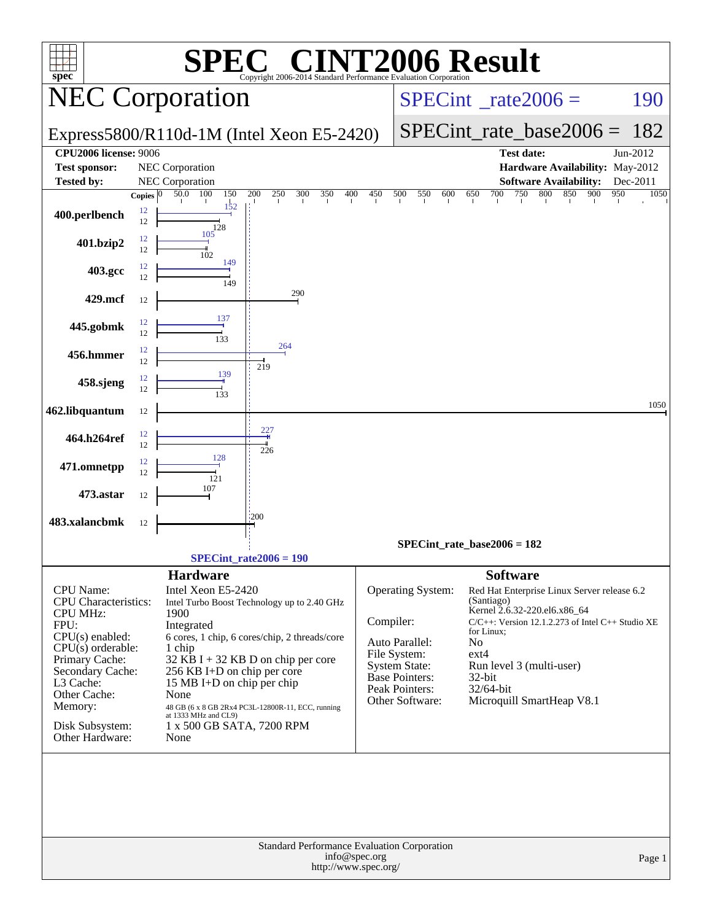| $spec^*$                     |              |                           | <b>C® CINT2006 Result</b><br>Copyright 2006-2014 Standard Performance Evaluation Corporation |                                          |                                      |                 |                                                                                       |             |
|------------------------------|--------------|---------------------------|----------------------------------------------------------------------------------------------|------------------------------------------|--------------------------------------|-----------------|---------------------------------------------------------------------------------------|-------------|
| <b>NEC Corporation</b>       |              |                           |                                                                                              | $SPECint^{\circ}$ <sub>_rate2006</sub> = |                                      |                 | 190                                                                                   |             |
|                              |              |                           | Express5800/R110d-1M (Intel Xeon E5-2420)                                                    |                                          |                                      |                 | $SPECint_rate\_base2006 =$                                                            | 182         |
| <b>CPU2006</b> license: 9006 |              |                           |                                                                                              |                                          |                                      |                 | <b>Test date:</b>                                                                     | Jun-2012    |
| <b>Test sponsor:</b>         |              | NEC Corporation           |                                                                                              |                                          |                                      |                 | Hardware Availability: May-2012                                                       |             |
| <b>Tested by:</b>            |              | NEC Corporation           |                                                                                              |                                          |                                      |                 | <b>Software Availability:</b>                                                         | Dec-2011    |
|                              | Copies $ 0 $ | 150<br>50.0<br>100<br>152 | 200<br>250<br>300<br>350                                                                     | 400<br>450                               | 500<br>550<br>600                    | 650<br>700      | 750<br>800<br>850<br>900                                                              | 950<br>1050 |
| 400.perlbench                | 12<br>12     | 128                       |                                                                                              |                                          |                                      |                 |                                                                                       |             |
| 401.bzip2                    | 12<br>12     | 105<br>102                |                                                                                              |                                          |                                      |                 |                                                                                       |             |
| 403.gcc                      | 12<br>12     | 149                       |                                                                                              |                                          |                                      |                 |                                                                                       |             |
| 429.mcf                      | 12           | 149                       | 290                                                                                          |                                          |                                      |                 |                                                                                       |             |
| 445.gobmk                    | 12           | 137                       |                                                                                              |                                          |                                      |                 |                                                                                       |             |
| 456.hmmer                    | 12<br>12     | 133                       | 264                                                                                          |                                          |                                      |                 |                                                                                       |             |
|                              | 12           | 139                       | 219                                                                                          |                                          |                                      |                 |                                                                                       |             |
| 458.sjeng                    | 12<br>12     | 133                       |                                                                                              |                                          |                                      |                 |                                                                                       |             |
| 462.libquantum               | 12           |                           |                                                                                              |                                          |                                      |                 |                                                                                       | 1050        |
| 464.h264ref                  | 12<br>12     |                           | 227<br>226                                                                                   |                                          |                                      |                 |                                                                                       |             |
| 471.omnetpp                  | 12<br>12     | 128                       |                                                                                              |                                          |                                      |                 |                                                                                       |             |
| 473.astar                    | 12           | 121<br>107                |                                                                                              |                                          |                                      |                 |                                                                                       |             |
| 483.xalancbmk                | 12           |                           | :200                                                                                         |                                          |                                      |                 |                                                                                       |             |
|                              |              |                           |                                                                                              |                                          |                                      |                 |                                                                                       |             |
|                              |              |                           | $SPECint_rate2006 = 190$                                                                     |                                          | $SPECint_rate_base2006 = 182$        |                 |                                                                                       |             |
|                              |              | <b>Hardware</b>           |                                                                                              |                                          |                                      | <b>Software</b> |                                                                                       |             |
| CPU Name:                    |              | Intel Xeon E5-2420        |                                                                                              |                                          | Operating System:                    |                 | Red Hat Enterprise Linux Server release 6.2                                           |             |
| <b>CPU</b> Characteristics:  |              |                           | Intel Turbo Boost Technology up to 2.40 GHz                                                  |                                          |                                      | (Santiago)      |                                                                                       |             |
| <b>CPU MHz:</b>              |              | 1900                      |                                                                                              | Compiler:                                |                                      |                 | Kernel 2.6.32-220.el6.x86_64<br>$C/C++$ : Version 12.1.2.273 of Intel $C++$ Studio XE |             |
| FPU:<br>$CPU(s)$ enabled:    |              | Integrated                | 6 cores, 1 chip, 6 cores/chip, 2 threads/core                                                |                                          |                                      | for Linux;      |                                                                                       |             |
| $CPU(s)$ orderable:          |              | 1 chip                    |                                                                                              |                                          | Auto Parallel:                       | No              |                                                                                       |             |
| Primary Cache:               |              |                           | $32$ KB I + 32 KB D on chip per core                                                         |                                          | File System:<br><b>System State:</b> | $ext{4}$        | Run level 3 (multi-user)                                                              |             |
| Secondary Cache:             |              |                           | 256 KB I+D on chip per core                                                                  |                                          | <b>Base Pointers:</b>                | 32-bit          |                                                                                       |             |
| L3 Cache:<br>Other Cache:    |              | None                      | 15 MB I+D on chip per chip                                                                   |                                          | Peak Pointers:                       | 32/64-bit       |                                                                                       |             |
| Memory:                      |              |                           | 48 GB (6 x 8 GB 2Rx4 PC3L-12800R-11, ECC, running                                            |                                          | Other Software:                      |                 | Microquill SmartHeap V8.1                                                             |             |
| Disk Subsystem:              |              | at 1333 MHz and CL9)      | 1 x 500 GB SATA, 7200 RPM                                                                    |                                          |                                      |                 |                                                                                       |             |
| Other Hardware:              |              | None                      |                                                                                              |                                          |                                      |                 |                                                                                       |             |
|                              |              |                           | Standard Performance Evaluation Corporation                                                  |                                          |                                      |                 |                                                                                       |             |
|                              |              |                           |                                                                                              | info@spec.org<br>http://www.spec.org/    |                                      |                 |                                                                                       | Page 1      |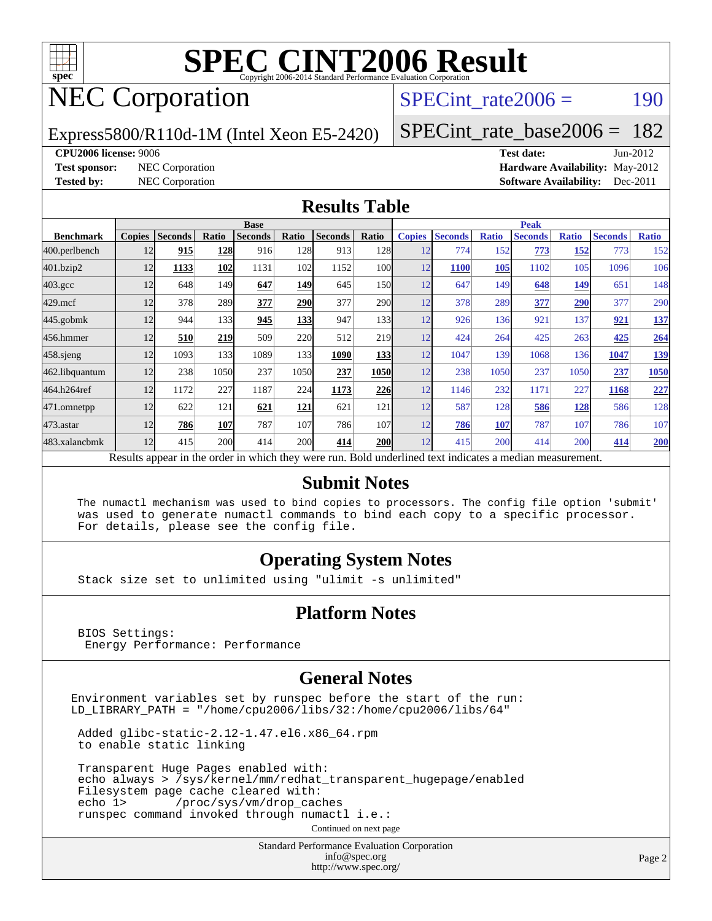

## NEC Corporation

SPECint rate $2006 = 190$ 

Express5800/R110d-1M (Intel Xeon E5-2420)

[SPECint\\_rate\\_base2006 =](http://www.spec.org/auto/cpu2006/Docs/result-fields.html#SPECintratebase2006) 182

#### **[CPU2006 license:](http://www.spec.org/auto/cpu2006/Docs/result-fields.html#CPU2006license)** 9006 **[Test date:](http://www.spec.org/auto/cpu2006/Docs/result-fields.html#Testdate)** Jun-2012

**[Test sponsor:](http://www.spec.org/auto/cpu2006/Docs/result-fields.html#Testsponsor)** NEC Corporation **[Hardware Availability:](http://www.spec.org/auto/cpu2006/Docs/result-fields.html#HardwareAvailability)** May-2012 **[Tested by:](http://www.spec.org/auto/cpu2006/Docs/result-fields.html#Testedby)** NEC Corporation **[Software Availability:](http://www.spec.org/auto/cpu2006/Docs/result-fields.html#SoftwareAvailability)** Dec-2011

#### **[Results Table](http://www.spec.org/auto/cpu2006/Docs/result-fields.html#ResultsTable)**

|                                                                                                          | <b>Base</b>   |                |       |                |            |                |            | <b>Peak</b>   |                |              |                |              |                |              |
|----------------------------------------------------------------------------------------------------------|---------------|----------------|-------|----------------|------------|----------------|------------|---------------|----------------|--------------|----------------|--------------|----------------|--------------|
| <b>Benchmark</b>                                                                                         | <b>Copies</b> | <b>Seconds</b> | Ratio | <b>Seconds</b> | Ratio      | <b>Seconds</b> | Ratio      | <b>Copies</b> | <b>Seconds</b> | <b>Ratio</b> | <b>Seconds</b> | <b>Ratio</b> | <b>Seconds</b> | <b>Ratio</b> |
| 400.perlbench                                                                                            | 12            | 915            | 128   | 916            | 128        | 913            | 128        | 12            | 774            | 152          | 773            | 152          | 773            | 152          |
| 401.bzip2                                                                                                | 12            | 1133           | 102   | 1131           | 102        | 1152           | 100l       | 12            | <b>1100</b>    | 105          | 1102           | 105          | 1096           | 106          |
| $403.\mathrm{gcc}$                                                                                       | 12            | 648            | 149   | 647            | 149        | 645            | 150        | 12            | 647            | 149          | 648            | 149          | 651            | 148          |
| $429$ .mcf                                                                                               | 12            | 378            | 289   | 377            | <b>290</b> | 377            | 290        | 12            | 378            | 289          | 377            | 290          | 377            | 290          |
| $445$ .gobmk                                                                                             | 12            | 944            | 133   | 945            | 133        | 947            | 133        | 12            | 926            | 136          | 921            | 137          | 921            | 137          |
| 456.hmmer                                                                                                | 12            | 510            | 219   | 509            | 220        | 512            | 219        | 12            | 424            | 264          | 425            | 263          | 425            | 264          |
| $458$ .sjeng                                                                                             | 12            | 1093           | 133   | 1089           | 133        | 1090           | <b>133</b> | 12            | 1047           | 139          | 1068           | 136          | 1047           | <u>139</u>   |
| 462.libquantum                                                                                           | 12            | 238            | 1050  | 237            | 1050       | 237            | 1050       | 12            | 238            | 1050         | 237            | 1050         | 237            | 1050         |
| 464.h264ref                                                                                              | 12            | 1172           | 227   | 1187           | 224        | 1173           | 226        | 12            | 1146           | 232          | 1171           | 227          | 1168           | 227          |
| 471.omnetpp                                                                                              | 12            | 622            | 121   | 621            | 121        | 621            | 121        | 12            | 587            | 128          | 586            | 128          | 586            | 128          |
| 473.astar                                                                                                | 12            | 786            | 107   | 787            | 107        | 786            | 107        | 12            | 786            | 107          | 787            | 107          | 786            | 107          |
| 483.xalancbmk                                                                                            | 12            | 415            | 200   | 414            | <b>200</b> | 414            | <b>200</b> | 12            | 415            | 200          | 414            | 200          | 414            | 200          |
| Results appear in the order in which they were run. Bold underlined text indicates a median measurement. |               |                |       |                |            |                |            |               |                |              |                |              |                |              |

#### **[Submit Notes](http://www.spec.org/auto/cpu2006/Docs/result-fields.html#SubmitNotes)**

 The numactl mechanism was used to bind copies to processors. The config file option 'submit' was used to generate numactl commands to bind each copy to a specific processor. For details, please see the config file.

#### **[Operating System Notes](http://www.spec.org/auto/cpu2006/Docs/result-fields.html#OperatingSystemNotes)**

Stack size set to unlimited using "ulimit -s unlimited"

#### **[Platform Notes](http://www.spec.org/auto/cpu2006/Docs/result-fields.html#PlatformNotes)**

 BIOS Settings: Energy Performance: Performance

#### **[General Notes](http://www.spec.org/auto/cpu2006/Docs/result-fields.html#GeneralNotes)**

Environment variables set by runspec before the start of the run: LD\_LIBRARY\_PATH = "/home/cpu2006/libs/32:/home/cpu2006/libs/64"

 Added glibc-static-2.12-1.47.el6.x86\_64.rpm to enable static linking

 Transparent Huge Pages enabled with: echo always > /sys/kernel/mm/redhat\_transparent\_hugepage/enabled Filesystem page cache cleared with: echo 1> /proc/sys/vm/drop\_caches runspec command invoked through numactl i.e.:

Continued on next page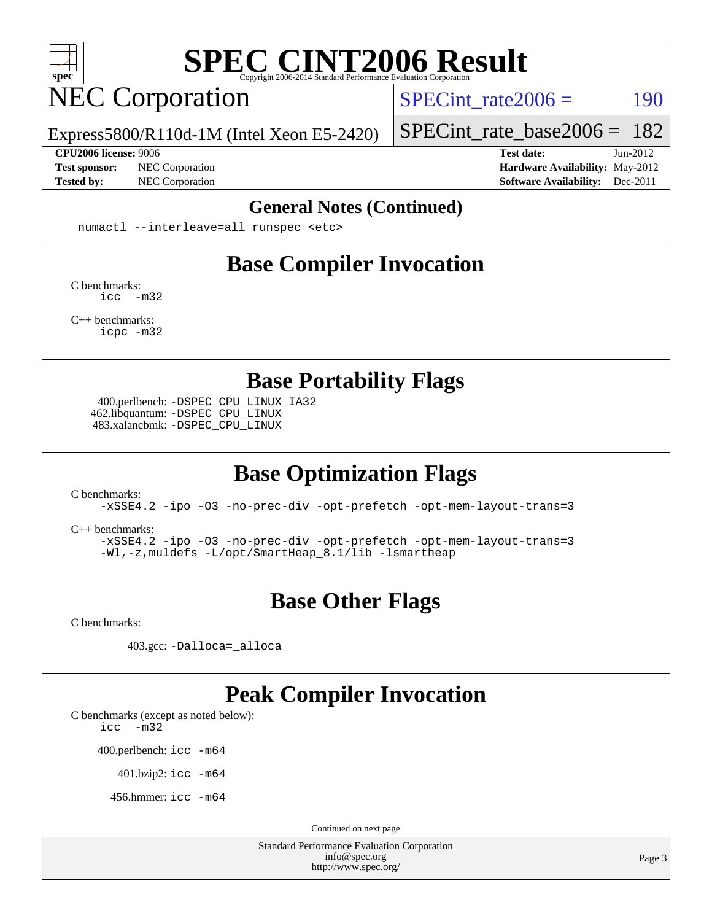

## NEC Corporation

SPECint rate $2006 = 190$ 

Express5800/R110d-1M (Intel Xeon E5-2420)

**[CPU2006 license:](http://www.spec.org/auto/cpu2006/Docs/result-fields.html#CPU2006license)** 9006 **[Test date:](http://www.spec.org/auto/cpu2006/Docs/result-fields.html#Testdate)** Jun-2012

[SPECint\\_rate\\_base2006 =](http://www.spec.org/auto/cpu2006/Docs/result-fields.html#SPECintratebase2006) 182

**[Test sponsor:](http://www.spec.org/auto/cpu2006/Docs/result-fields.html#Testsponsor)** NEC Corporation **[Hardware Availability:](http://www.spec.org/auto/cpu2006/Docs/result-fields.html#HardwareAvailability)** May-2012 **[Tested by:](http://www.spec.org/auto/cpu2006/Docs/result-fields.html#Testedby)** NEC Corporation **[Software Availability:](http://www.spec.org/auto/cpu2006/Docs/result-fields.html#SoftwareAvailability)** Dec-2011

#### **[General Notes \(Continued\)](http://www.spec.org/auto/cpu2006/Docs/result-fields.html#GeneralNotes)**

numactl --interleave=all runspec <etc>

### **[Base Compiler Invocation](http://www.spec.org/auto/cpu2006/Docs/result-fields.html#BaseCompilerInvocation)**

[C benchmarks](http://www.spec.org/auto/cpu2006/Docs/result-fields.html#Cbenchmarks): [icc -m32](http://www.spec.org/cpu2006/results/res2012q3/cpu2006-20120617-22932.flags.html#user_CCbase_intel_icc_5ff4a39e364c98233615fdd38438c6f2)

[C++ benchmarks:](http://www.spec.org/auto/cpu2006/Docs/result-fields.html#CXXbenchmarks) [icpc -m32](http://www.spec.org/cpu2006/results/res2012q3/cpu2006-20120617-22932.flags.html#user_CXXbase_intel_icpc_4e5a5ef1a53fd332b3c49e69c3330699)

**[Base Portability Flags](http://www.spec.org/auto/cpu2006/Docs/result-fields.html#BasePortabilityFlags)**

 400.perlbench: [-DSPEC\\_CPU\\_LINUX\\_IA32](http://www.spec.org/cpu2006/results/res2012q3/cpu2006-20120617-22932.flags.html#b400.perlbench_baseCPORTABILITY_DSPEC_CPU_LINUX_IA32) 462.libquantum: [-DSPEC\\_CPU\\_LINUX](http://www.spec.org/cpu2006/results/res2012q3/cpu2006-20120617-22932.flags.html#b462.libquantum_baseCPORTABILITY_DSPEC_CPU_LINUX) 483.xalancbmk: [-DSPEC\\_CPU\\_LINUX](http://www.spec.org/cpu2006/results/res2012q3/cpu2006-20120617-22932.flags.html#b483.xalancbmk_baseCXXPORTABILITY_DSPEC_CPU_LINUX)

## **[Base Optimization Flags](http://www.spec.org/auto/cpu2006/Docs/result-fields.html#BaseOptimizationFlags)**

[C benchmarks](http://www.spec.org/auto/cpu2006/Docs/result-fields.html#Cbenchmarks):

[-xSSE4.2](http://www.spec.org/cpu2006/results/res2012q3/cpu2006-20120617-22932.flags.html#user_CCbase_f-xSSE42_f91528193cf0b216347adb8b939d4107) [-ipo](http://www.spec.org/cpu2006/results/res2012q3/cpu2006-20120617-22932.flags.html#user_CCbase_f-ipo) [-O3](http://www.spec.org/cpu2006/results/res2012q3/cpu2006-20120617-22932.flags.html#user_CCbase_f-O3) [-no-prec-div](http://www.spec.org/cpu2006/results/res2012q3/cpu2006-20120617-22932.flags.html#user_CCbase_f-no-prec-div) [-opt-prefetch](http://www.spec.org/cpu2006/results/res2012q3/cpu2006-20120617-22932.flags.html#user_CCbase_f-opt-prefetch) [-opt-mem-layout-trans=3](http://www.spec.org/cpu2006/results/res2012q3/cpu2006-20120617-22932.flags.html#user_CCbase_f-opt-mem-layout-trans_a7b82ad4bd7abf52556d4961a2ae94d5)

[C++ benchmarks:](http://www.spec.org/auto/cpu2006/Docs/result-fields.html#CXXbenchmarks)

[-xSSE4.2](http://www.spec.org/cpu2006/results/res2012q3/cpu2006-20120617-22932.flags.html#user_CXXbase_f-xSSE42_f91528193cf0b216347adb8b939d4107) [-ipo](http://www.spec.org/cpu2006/results/res2012q3/cpu2006-20120617-22932.flags.html#user_CXXbase_f-ipo) [-O3](http://www.spec.org/cpu2006/results/res2012q3/cpu2006-20120617-22932.flags.html#user_CXXbase_f-O3) [-no-prec-div](http://www.spec.org/cpu2006/results/res2012q3/cpu2006-20120617-22932.flags.html#user_CXXbase_f-no-prec-div) [-opt-prefetch](http://www.spec.org/cpu2006/results/res2012q3/cpu2006-20120617-22932.flags.html#user_CXXbase_f-opt-prefetch) [-opt-mem-layout-trans=3](http://www.spec.org/cpu2006/results/res2012q3/cpu2006-20120617-22932.flags.html#user_CXXbase_f-opt-mem-layout-trans_a7b82ad4bd7abf52556d4961a2ae94d5) [-Wl,-z,muldefs](http://www.spec.org/cpu2006/results/res2012q3/cpu2006-20120617-22932.flags.html#user_CXXbase_link_force_multiple1_74079c344b956b9658436fd1b6dd3a8a) [-L/opt/SmartHeap\\_8.1/lib -lsmartheap](http://www.spec.org/cpu2006/results/res2012q3/cpu2006-20120617-22932.flags.html#user_CXXbase_SmartHeap_d5ba4dfc9de25d3c657c7de7476e66c5)

### **[Base Other Flags](http://www.spec.org/auto/cpu2006/Docs/result-fields.html#BaseOtherFlags)**

[C benchmarks](http://www.spec.org/auto/cpu2006/Docs/result-fields.html#Cbenchmarks):

403.gcc: [-Dalloca=\\_alloca](http://www.spec.org/cpu2006/results/res2012q3/cpu2006-20120617-22932.flags.html#b403.gcc_baseEXTRA_CFLAGS_Dalloca_be3056838c12de2578596ca5467af7f3)

### **[Peak Compiler Invocation](http://www.spec.org/auto/cpu2006/Docs/result-fields.html#PeakCompilerInvocation)**

[C benchmarks \(except as noted below\)](http://www.spec.org/auto/cpu2006/Docs/result-fields.html#Cbenchmarksexceptasnotedbelow):

[icc -m32](http://www.spec.org/cpu2006/results/res2012q3/cpu2006-20120617-22932.flags.html#user_CCpeak_intel_icc_5ff4a39e364c98233615fdd38438c6f2)

400.perlbench: [icc -m64](http://www.spec.org/cpu2006/results/res2012q3/cpu2006-20120617-22932.flags.html#user_peakCCLD400_perlbench_intel_icc_64bit_bda6cc9af1fdbb0edc3795bac97ada53)

401.bzip2: [icc -m64](http://www.spec.org/cpu2006/results/res2012q3/cpu2006-20120617-22932.flags.html#user_peakCCLD401_bzip2_intel_icc_64bit_bda6cc9af1fdbb0edc3795bac97ada53)

456.hmmer: [icc -m64](http://www.spec.org/cpu2006/results/res2012q3/cpu2006-20120617-22932.flags.html#user_peakCCLD456_hmmer_intel_icc_64bit_bda6cc9af1fdbb0edc3795bac97ada53)

Continued on next page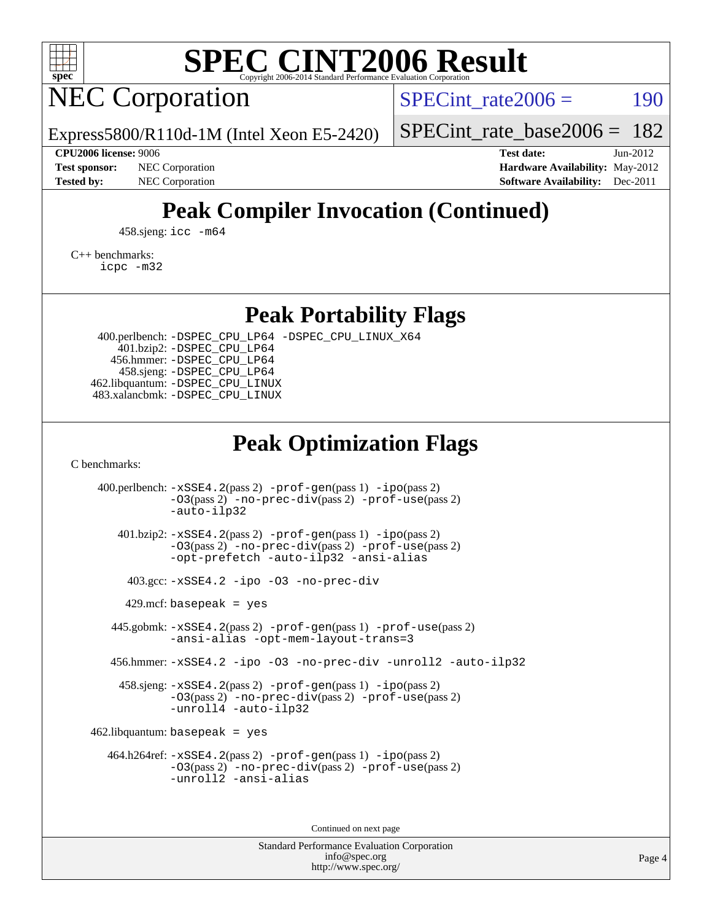

## NEC Corporation

SPECint rate $2006 = 190$ 

[SPECint\\_rate\\_base2006 =](http://www.spec.org/auto/cpu2006/Docs/result-fields.html#SPECintratebase2006) 182

Express5800/R110d-1M (Intel Xeon E5-2420)

**[CPU2006 license:](http://www.spec.org/auto/cpu2006/Docs/result-fields.html#CPU2006license)** 9006 **[Test date:](http://www.spec.org/auto/cpu2006/Docs/result-fields.html#Testdate)** Jun-2012 **[Test sponsor:](http://www.spec.org/auto/cpu2006/Docs/result-fields.html#Testsponsor)** NEC Corporation **NEC Corporation [Hardware Availability:](http://www.spec.org/auto/cpu2006/Docs/result-fields.html#HardwareAvailability)** May-2012 **[Tested by:](http://www.spec.org/auto/cpu2006/Docs/result-fields.html#Testedby)** NEC Corporation **[Software Availability:](http://www.spec.org/auto/cpu2006/Docs/result-fields.html#SoftwareAvailability)** Dec-2011

## **[Peak Compiler Invocation \(Continued\)](http://www.spec.org/auto/cpu2006/Docs/result-fields.html#PeakCompilerInvocation)**

458.sjeng: [icc -m64](http://www.spec.org/cpu2006/results/res2012q3/cpu2006-20120617-22932.flags.html#user_peakCCLD458_sjeng_intel_icc_64bit_bda6cc9af1fdbb0edc3795bac97ada53)

[C++ benchmarks:](http://www.spec.org/auto/cpu2006/Docs/result-fields.html#CXXbenchmarks)

[icpc -m32](http://www.spec.org/cpu2006/results/res2012q3/cpu2006-20120617-22932.flags.html#user_CXXpeak_intel_icpc_4e5a5ef1a53fd332b3c49e69c3330699)

**[Peak Portability Flags](http://www.spec.org/auto/cpu2006/Docs/result-fields.html#PeakPortabilityFlags)**

 400.perlbench: [-DSPEC\\_CPU\\_LP64](http://www.spec.org/cpu2006/results/res2012q3/cpu2006-20120617-22932.flags.html#b400.perlbench_peakCPORTABILITY_DSPEC_CPU_LP64) [-DSPEC\\_CPU\\_LINUX\\_X64](http://www.spec.org/cpu2006/results/res2012q3/cpu2006-20120617-22932.flags.html#b400.perlbench_peakCPORTABILITY_DSPEC_CPU_LINUX_X64) 401.bzip2: [-DSPEC\\_CPU\\_LP64](http://www.spec.org/cpu2006/results/res2012q3/cpu2006-20120617-22932.flags.html#suite_peakCPORTABILITY401_bzip2_DSPEC_CPU_LP64) 456.hmmer: [-DSPEC\\_CPU\\_LP64](http://www.spec.org/cpu2006/results/res2012q3/cpu2006-20120617-22932.flags.html#suite_peakCPORTABILITY456_hmmer_DSPEC_CPU_LP64) 458.sjeng: [-DSPEC\\_CPU\\_LP64](http://www.spec.org/cpu2006/results/res2012q3/cpu2006-20120617-22932.flags.html#suite_peakCPORTABILITY458_sjeng_DSPEC_CPU_LP64) 462.libquantum: [-DSPEC\\_CPU\\_LINUX](http://www.spec.org/cpu2006/results/res2012q3/cpu2006-20120617-22932.flags.html#b462.libquantum_peakCPORTABILITY_DSPEC_CPU_LINUX) 483.xalancbmk: [-DSPEC\\_CPU\\_LINUX](http://www.spec.org/cpu2006/results/res2012q3/cpu2006-20120617-22932.flags.html#b483.xalancbmk_peakCXXPORTABILITY_DSPEC_CPU_LINUX)

### **[Peak Optimization Flags](http://www.spec.org/auto/cpu2006/Docs/result-fields.html#PeakOptimizationFlags)**

[C benchmarks](http://www.spec.org/auto/cpu2006/Docs/result-fields.html#Cbenchmarks):

 400.perlbench: [-xSSE4.2](http://www.spec.org/cpu2006/results/res2012q3/cpu2006-20120617-22932.flags.html#user_peakPASS2_CFLAGSPASS2_LDCFLAGS400_perlbench_f-xSSE42_f91528193cf0b216347adb8b939d4107)(pass 2) [-prof-gen](http://www.spec.org/cpu2006/results/res2012q3/cpu2006-20120617-22932.flags.html#user_peakPASS1_CFLAGSPASS1_LDCFLAGS400_perlbench_prof_gen_e43856698f6ca7b7e442dfd80e94a8fc)(pass 1) [-ipo](http://www.spec.org/cpu2006/results/res2012q3/cpu2006-20120617-22932.flags.html#user_peakPASS2_CFLAGSPASS2_LDCFLAGS400_perlbench_f-ipo)(pass 2) [-O3](http://www.spec.org/cpu2006/results/res2012q3/cpu2006-20120617-22932.flags.html#user_peakPASS2_CFLAGSPASS2_LDCFLAGS400_perlbench_f-O3)(pass 2) [-no-prec-div](http://www.spec.org/cpu2006/results/res2012q3/cpu2006-20120617-22932.flags.html#user_peakPASS2_CFLAGSPASS2_LDCFLAGS400_perlbench_f-no-prec-div)(pass 2) [-prof-use](http://www.spec.org/cpu2006/results/res2012q3/cpu2006-20120617-22932.flags.html#user_peakPASS2_CFLAGSPASS2_LDCFLAGS400_perlbench_prof_use_bccf7792157ff70d64e32fe3e1250b55)(pass 2) [-auto-ilp32](http://www.spec.org/cpu2006/results/res2012q3/cpu2006-20120617-22932.flags.html#user_peakCOPTIMIZE400_perlbench_f-auto-ilp32) 401.bzip2: [-xSSE4.2](http://www.spec.org/cpu2006/results/res2012q3/cpu2006-20120617-22932.flags.html#user_peakPASS2_CFLAGSPASS2_LDCFLAGS401_bzip2_f-xSSE42_f91528193cf0b216347adb8b939d4107)(pass 2) [-prof-gen](http://www.spec.org/cpu2006/results/res2012q3/cpu2006-20120617-22932.flags.html#user_peakPASS1_CFLAGSPASS1_LDCFLAGS401_bzip2_prof_gen_e43856698f6ca7b7e442dfd80e94a8fc)(pass 1) [-ipo](http://www.spec.org/cpu2006/results/res2012q3/cpu2006-20120617-22932.flags.html#user_peakPASS2_CFLAGSPASS2_LDCFLAGS401_bzip2_f-ipo)(pass 2) [-O3](http://www.spec.org/cpu2006/results/res2012q3/cpu2006-20120617-22932.flags.html#user_peakPASS2_CFLAGSPASS2_LDCFLAGS401_bzip2_f-O3)(pass 2) [-no-prec-div](http://www.spec.org/cpu2006/results/res2012q3/cpu2006-20120617-22932.flags.html#user_peakPASS2_CFLAGSPASS2_LDCFLAGS401_bzip2_f-no-prec-div)(pass 2) [-prof-use](http://www.spec.org/cpu2006/results/res2012q3/cpu2006-20120617-22932.flags.html#user_peakPASS2_CFLAGSPASS2_LDCFLAGS401_bzip2_prof_use_bccf7792157ff70d64e32fe3e1250b55)(pass 2) [-opt-prefetch](http://www.spec.org/cpu2006/results/res2012q3/cpu2006-20120617-22932.flags.html#user_peakCOPTIMIZE401_bzip2_f-opt-prefetch) [-auto-ilp32](http://www.spec.org/cpu2006/results/res2012q3/cpu2006-20120617-22932.flags.html#user_peakCOPTIMIZE401_bzip2_f-auto-ilp32) [-ansi-alias](http://www.spec.org/cpu2006/results/res2012q3/cpu2006-20120617-22932.flags.html#user_peakCOPTIMIZE401_bzip2_f-ansi-alias) 403.gcc: [-xSSE4.2](http://www.spec.org/cpu2006/results/res2012q3/cpu2006-20120617-22932.flags.html#user_peakCOPTIMIZE403_gcc_f-xSSE42_f91528193cf0b216347adb8b939d4107) [-ipo](http://www.spec.org/cpu2006/results/res2012q3/cpu2006-20120617-22932.flags.html#user_peakCOPTIMIZE403_gcc_f-ipo) [-O3](http://www.spec.org/cpu2006/results/res2012q3/cpu2006-20120617-22932.flags.html#user_peakCOPTIMIZE403_gcc_f-O3) [-no-prec-div](http://www.spec.org/cpu2006/results/res2012q3/cpu2006-20120617-22932.flags.html#user_peakCOPTIMIZE403_gcc_f-no-prec-div)  $429$ .mcf: basepeak = yes 445.gobmk: [-xSSE4.2](http://www.spec.org/cpu2006/results/res2012q3/cpu2006-20120617-22932.flags.html#user_peakPASS2_CFLAGSPASS2_LDCFLAGS445_gobmk_f-xSSE42_f91528193cf0b216347adb8b939d4107)(pass 2) [-prof-gen](http://www.spec.org/cpu2006/results/res2012q3/cpu2006-20120617-22932.flags.html#user_peakPASS1_CFLAGSPASS1_LDCFLAGS445_gobmk_prof_gen_e43856698f6ca7b7e442dfd80e94a8fc)(pass 1) [-prof-use](http://www.spec.org/cpu2006/results/res2012q3/cpu2006-20120617-22932.flags.html#user_peakPASS2_CFLAGSPASS2_LDCFLAGS445_gobmk_prof_use_bccf7792157ff70d64e32fe3e1250b55)(pass 2) [-ansi-alias](http://www.spec.org/cpu2006/results/res2012q3/cpu2006-20120617-22932.flags.html#user_peakCOPTIMIZE445_gobmk_f-ansi-alias) [-opt-mem-layout-trans=3](http://www.spec.org/cpu2006/results/res2012q3/cpu2006-20120617-22932.flags.html#user_peakCOPTIMIZE445_gobmk_f-opt-mem-layout-trans_a7b82ad4bd7abf52556d4961a2ae94d5) 456.hmmer: [-xSSE4.2](http://www.spec.org/cpu2006/results/res2012q3/cpu2006-20120617-22932.flags.html#user_peakCOPTIMIZE456_hmmer_f-xSSE42_f91528193cf0b216347adb8b939d4107) [-ipo](http://www.spec.org/cpu2006/results/res2012q3/cpu2006-20120617-22932.flags.html#user_peakCOPTIMIZE456_hmmer_f-ipo) [-O3](http://www.spec.org/cpu2006/results/res2012q3/cpu2006-20120617-22932.flags.html#user_peakCOPTIMIZE456_hmmer_f-O3) [-no-prec-div](http://www.spec.org/cpu2006/results/res2012q3/cpu2006-20120617-22932.flags.html#user_peakCOPTIMIZE456_hmmer_f-no-prec-div) [-unroll2](http://www.spec.org/cpu2006/results/res2012q3/cpu2006-20120617-22932.flags.html#user_peakCOPTIMIZE456_hmmer_f-unroll_784dae83bebfb236979b41d2422d7ec2) [-auto-ilp32](http://www.spec.org/cpu2006/results/res2012q3/cpu2006-20120617-22932.flags.html#user_peakCOPTIMIZE456_hmmer_f-auto-ilp32) 458.sjeng: [-xSSE4.2](http://www.spec.org/cpu2006/results/res2012q3/cpu2006-20120617-22932.flags.html#user_peakPASS2_CFLAGSPASS2_LDCFLAGS458_sjeng_f-xSSE42_f91528193cf0b216347adb8b939d4107)(pass 2) [-prof-gen](http://www.spec.org/cpu2006/results/res2012q3/cpu2006-20120617-22932.flags.html#user_peakPASS1_CFLAGSPASS1_LDCFLAGS458_sjeng_prof_gen_e43856698f6ca7b7e442dfd80e94a8fc)(pass 1) [-ipo](http://www.spec.org/cpu2006/results/res2012q3/cpu2006-20120617-22932.flags.html#user_peakPASS2_CFLAGSPASS2_LDCFLAGS458_sjeng_f-ipo)(pass 2) [-O3](http://www.spec.org/cpu2006/results/res2012q3/cpu2006-20120617-22932.flags.html#user_peakPASS2_CFLAGSPASS2_LDCFLAGS458_sjeng_f-O3)(pass 2) [-no-prec-div](http://www.spec.org/cpu2006/results/res2012q3/cpu2006-20120617-22932.flags.html#user_peakPASS2_CFLAGSPASS2_LDCFLAGS458_sjeng_f-no-prec-div)(pass 2) [-prof-use](http://www.spec.org/cpu2006/results/res2012q3/cpu2006-20120617-22932.flags.html#user_peakPASS2_CFLAGSPASS2_LDCFLAGS458_sjeng_prof_use_bccf7792157ff70d64e32fe3e1250b55)(pass 2) [-unroll4](http://www.spec.org/cpu2006/results/res2012q3/cpu2006-20120617-22932.flags.html#user_peakCOPTIMIZE458_sjeng_f-unroll_4e5e4ed65b7fd20bdcd365bec371b81f) [-auto-ilp32](http://www.spec.org/cpu2006/results/res2012q3/cpu2006-20120617-22932.flags.html#user_peakCOPTIMIZE458_sjeng_f-auto-ilp32)  $462$ .libquantum: basepeak = yes 464.h264ref: [-xSSE4.2](http://www.spec.org/cpu2006/results/res2012q3/cpu2006-20120617-22932.flags.html#user_peakPASS2_CFLAGSPASS2_LDCFLAGS464_h264ref_f-xSSE42_f91528193cf0b216347adb8b939d4107)(pass 2) [-prof-gen](http://www.spec.org/cpu2006/results/res2012q3/cpu2006-20120617-22932.flags.html#user_peakPASS1_CFLAGSPASS1_LDCFLAGS464_h264ref_prof_gen_e43856698f6ca7b7e442dfd80e94a8fc)(pass 1) [-ipo](http://www.spec.org/cpu2006/results/res2012q3/cpu2006-20120617-22932.flags.html#user_peakPASS2_CFLAGSPASS2_LDCFLAGS464_h264ref_f-ipo)(pass 2) [-O3](http://www.spec.org/cpu2006/results/res2012q3/cpu2006-20120617-22932.flags.html#user_peakPASS2_CFLAGSPASS2_LDCFLAGS464_h264ref_f-O3)(pass 2) [-no-prec-div](http://www.spec.org/cpu2006/results/res2012q3/cpu2006-20120617-22932.flags.html#user_peakPASS2_CFLAGSPASS2_LDCFLAGS464_h264ref_f-no-prec-div)(pass 2) [-prof-use](http://www.spec.org/cpu2006/results/res2012q3/cpu2006-20120617-22932.flags.html#user_peakPASS2_CFLAGSPASS2_LDCFLAGS464_h264ref_prof_use_bccf7792157ff70d64e32fe3e1250b55)(pass 2) [-unroll2](http://www.spec.org/cpu2006/results/res2012q3/cpu2006-20120617-22932.flags.html#user_peakCOPTIMIZE464_h264ref_f-unroll_784dae83bebfb236979b41d2422d7ec2) [-ansi-alias](http://www.spec.org/cpu2006/results/res2012q3/cpu2006-20120617-22932.flags.html#user_peakCOPTIMIZE464_h264ref_f-ansi-alias)

Continued on next page